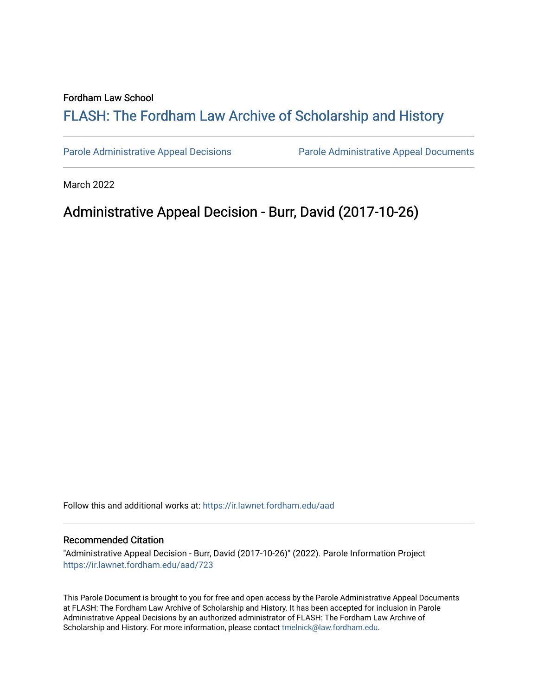## Fordham Law School

# FLASH: The For[dham Law Archive of Scholarship and Hist](https://ir.lawnet.fordham.edu/)ory

[Parole Administrative Appeal Decisions](https://ir.lawnet.fordham.edu/aad) [Parole Administrative Appeal Documents](https://ir.lawnet.fordham.edu/ad_app_docs) 

March 2022

## Administrative Appeal Decision - Burr, David (2017-10-26)

Follow this and additional works at: [https://ir.lawnet.fordham.edu/aad](https://ir.lawnet.fordham.edu/aad?utm_source=ir.lawnet.fordham.edu%2Faad%2F723&utm_medium=PDF&utm_campaign=PDFCoverPages) 

### Recommended Citation

"Administrative Appeal Decision - Burr, David (2017-10-26)" (2022). Parole Information Project [https://ir.lawnet.fordham.edu/aad/723](https://ir.lawnet.fordham.edu/aad/723?utm_source=ir.lawnet.fordham.edu%2Faad%2F723&utm_medium=PDF&utm_campaign=PDFCoverPages) 

This Parole Document is brought to you for free and open access by the Parole Administrative Appeal Documents at FLASH: The Fordham Law Archive of Scholarship and History. It has been accepted for inclusion in Parole Administrative Appeal Decisions by an authorized administrator of FLASH: The Fordham Law Archive of Scholarship and History. For more information, please contact [tmelnick@law.fordham.edu](mailto:tmelnick@law.fordham.edu).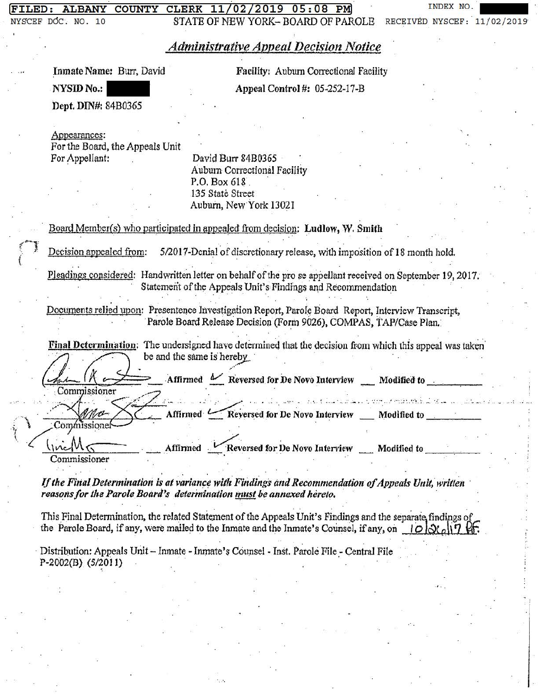#### CLERK 11/02/2019 05:08 PM **COUNTY**

INDEX NO

STATE OF NEW YORK-BOARD OF PAROLE RECEIVED NYSCEF: 11/02/2019

# **Administrative Appeal Decision Notice**

Inmate Name: Burr, David

**NYSID No.:** 

NYSCEF DOC. NO. 10

Facility: Aubum Correctional Facility

Appeal Control #: 05-252-17-B

Dept. DIN#: 84B0365

Appearances:

For the Board, the Appeals Unit For Appellant:

David Burr 84B0365 Aubum Correctional Facility P.O. Box 618 135 State Street Auburn, New York 13021

Board Member(s) who participated in appealed from decision: Ludlow, W. Smith

Decision appealed from: 5/2017-Denial of discretionary release, with imposition of 18 month hold.

Pleadings considered: Handwritten letter on behalf of the pro se appellant received on September 19, 2017. Statement of the Appeals Unit's Findings and Recommendation

Documents relied upon: Presentence Investigation Report, Parole Board Report, Interview Transcript, Parole Board Release Decision (Form 9026), COMPAS, TAP/Case Plan.

Final Determination: The undersigned have determined that the decision from which this appeal was taken be and the same is hereby

Affirmed Meversed for De Novo Interview Modified to Commissioner de la política de la finitiva de la proporció de la decida de la partida de la proporció de la partida de la p Affirmed CReversed for De Novo Interview \_ Modified to \_\_\_\_\_\_ Commissionei

<u>Inc</u>M Affirmed Keversed for De Novo Interview \_\_ Modified to Commissioner

If the Final Determination is at variance with Findings and Recommendation of Appeals Unit, written reasons for the Parole Board's determination must be annexed hereto.

This Final Determination, the related Statement of the Appeals Unit's Findings and the separate findings of the Parole Board, if any, were mailed to the Inmate and the Inmate's Counsel, if any, on  $10000\sqrt{17}$ 

Distribution: Appeals Unit - Inmate - Inmate's Counsel - Inst. Parole File - Central File  $P-2002(B)$  (5/2011)